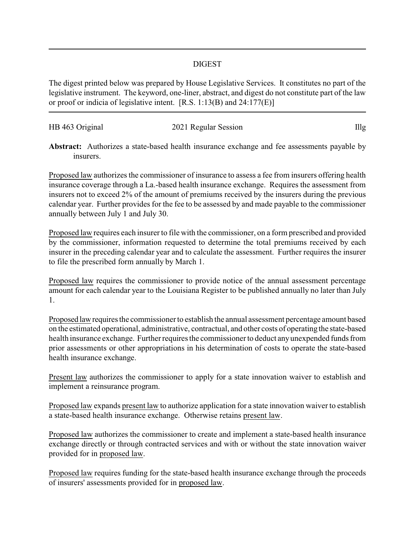## DIGEST

The digest printed below was prepared by House Legislative Services. It constitutes no part of the legislative instrument. The keyword, one-liner, abstract, and digest do not constitute part of the law or proof or indicia of legislative intent. [R.S. 1:13(B) and 24:177(E)]

| HB 463 Original | 2021 Regular Session | Illg |
|-----------------|----------------------|------|
|                 |                      |      |

**Abstract:** Authorizes a state-based health insurance exchange and fee assessments payable by insurers.

Proposed law authorizes the commissioner of insurance to assess a fee from insurers offering health insurance coverage through a La.-based health insurance exchange. Requires the assessment from insurers not to exceed 2% of the amount of premiums received by the insurers during the previous calendar year. Further provides for the fee to be assessed by and made payable to the commissioner annually between July 1 and July 30.

Proposed law requires each insurer to file with the commissioner, on a form prescribed and provided by the commissioner, information requested to determine the total premiums received by each insurer in the preceding calendar year and to calculate the assessment. Further requires the insurer to file the prescribed form annually by March 1.

Proposed law requires the commissioner to provide notice of the annual assessment percentage amount for each calendar year to the Louisiana Register to be published annually no later than July 1.

Proposed lawrequires the commissioner to establish the annual assessment percentage amount based on the estimated operational, administrative, contractual, and other costs of operating the state-based health insurance exchange. Further requires the commissioner to deduct anyunexpended funds from prior assessments or other appropriations in his determination of costs to operate the state-based health insurance exchange.

Present law authorizes the commissioner to apply for a state innovation waiver to establish and implement a reinsurance program.

Proposed law expands present law to authorize application for a state innovation waiver to establish a state-based health insurance exchange. Otherwise retains present law.

Proposed law authorizes the commissioner to create and implement a state-based health insurance exchange directly or through contracted services and with or without the state innovation waiver provided for in proposed law.

Proposed law requires funding for the state-based health insurance exchange through the proceeds of insurers' assessments provided for in proposed law.